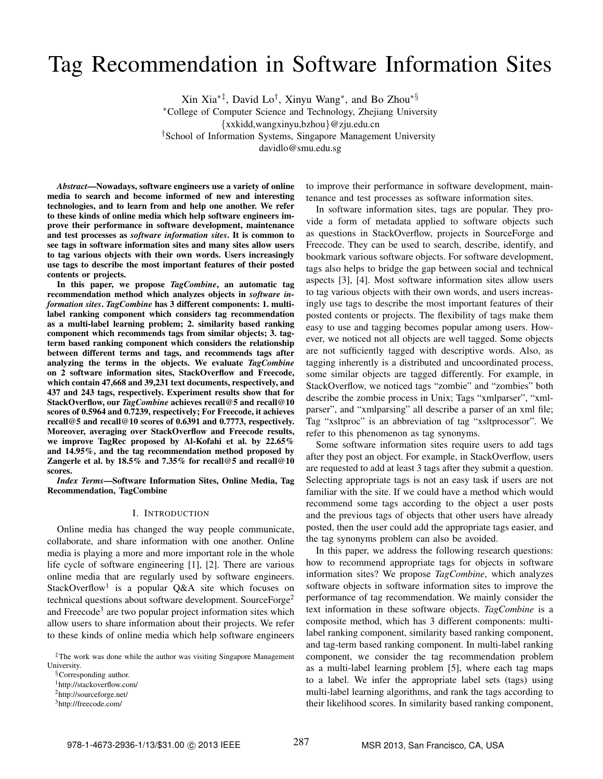# Tag Recommendation in Software Information Sites

Xin Xia∗‡, David Lo† , Xinyu Wang<sup>∗</sup> , and Bo Zhou∗§

<sup>∗</sup>College of Computer Science and Technology, Zhejiang University

{xxkidd,wangxinyu,bzhou}@zju.edu.cn

†School of Information Systems, Singapore Management University

davidlo@smu.edu.sg

*Abstract*—Nowadays, software engineers use a variety of online media to search and become informed of new and interesting technologies, and to learn from and help one another. We refer to these kinds of online media which help software engineers improve their performance in software development, maintenance and test processes as *software information sites*. It is common to see tags in software information sites and many sites allow users to tag various objects with their own words. Users increasingly use tags to describe the most important features of their posted contents or projects.

In this paper, we propose *TagCombine*, an automatic tag recommendation method which analyzes objects in *software information sites*. *TagCombine* has 3 different components: 1. multilabel ranking component which considers tag recommendation as a multi-label learning problem; 2. similarity based ranking component which recommends tags from similar objects; 3. tagterm based ranking component which considers the relationship between different terms and tags, and recommends tags after analyzing the terms in the objects. We evaluate *TagCombine* on 2 software information sites, StackOverflow and Freecode, which contain 47,668 and 39,231 text documents, respectively, and 437 and 243 tags, respectively. Experiment results show that for StackOverflow, our *TagCombine* achieves recall@5 and recall@10 scores of 0.5964 and 0.7239, respectively; For Freecode, it achieves recall@5 and recall@10 scores of 0.6391 and 0.7773, respectively. Moreover, averaging over StackOverflow and Freecode results, we improve TagRec proposed by Al-Kofahi et al. by 22.65% and 14.95%, and the tag recommendation method proposed by Zangerle et al. by 18.5% and 7.35% for recall@5 and recall@10 scores.

*Index Terms*—Software Information Sites, Online Media, Tag Recommendation, TagCombine

## I. INTRODUCTION

Online media has changed the way people communicate, collaborate, and share information with one another. Online media is playing a more and more important role in the whole life cycle of software engineering [1], [2]. There are various online media that are regularly used by software engineers. StackOverflow<sup>1</sup> is a popular Q&A site which focuses on technical questions about software development. SourceForge<sup>2</sup> and Freecode<sup>3</sup> are two popular project information sites which allow users to share information about their projects. We refer to these kinds of online media which help software engineers to improve their performance in software development, maintenance and test processes as software information sites.

In software information sites, tags are popular. They provide a form of metadata applied to software objects such as questions in StackOverflow, projects in SourceForge and Freecode. They can be used to search, describe, identify, and bookmark various software objects. For software development, tags also helps to bridge the gap between social and technical aspects [3], [4]. Most software information sites allow users to tag various objects with their own words, and users increasingly use tags to describe the most important features of their posted contents or projects. The flexibility of tags make them easy to use and tagging becomes popular among users. However, we noticed not all objects are well tagged. Some objects are not sufficiently tagged with descriptive words. Also, as tagging inherently is a distributed and uncoordinated process, some similar objects are tagged differently. For example, in StackOverflow, we noticed tags "zombie" and "zombies" both describe the zombie process in Unix; Tags "xmlparser", "xmlparser", and "xmlparsing" all describe a parser of an xml file; Tag "xsltproc" is an abbreviation of tag "xsltprocessor". We refer to this phenomenon as tag synonyms.

Some software information sites require users to add tags after they post an object. For example, in StackOverflow, users are requested to add at least 3 tags after they submit a question. Selecting appropriate tags is not an easy task if users are not familiar with the site. If we could have a method which would recommend some tags according to the object a user posts and the previous tags of objects that other users have already posted, then the user could add the appropriate tags easier, and the tag synonyms problem can also be avoided.

In this paper, we address the following research questions: how to recommend appropriate tags for objects in software information sites? We propose *TagCombine*, which analyzes software objects in software information sites to improve the performance of tag recommendation. We mainly consider the text information in these software objects. *TagCombine* is a composite method, which has 3 different components: multilabel ranking component, similarity based ranking component, and tag-term based ranking component. In multi-label ranking component, we consider the tag recommendation problem as a multi-label learning problem [5], where each tag maps to a label. We infer the appropriate label sets (tags) using multi-label learning algorithms, and rank the tags according to their likelihood scores. In similarity based ranking component,

<sup>‡</sup>The work was done while the author was visiting Singapore Management University.

<sup>§</sup>Corresponding author.

<sup>1</sup>http://stackoverflow.com/

<sup>2</sup>http://sourceforge.net/

<sup>3</sup>http://freecode.com/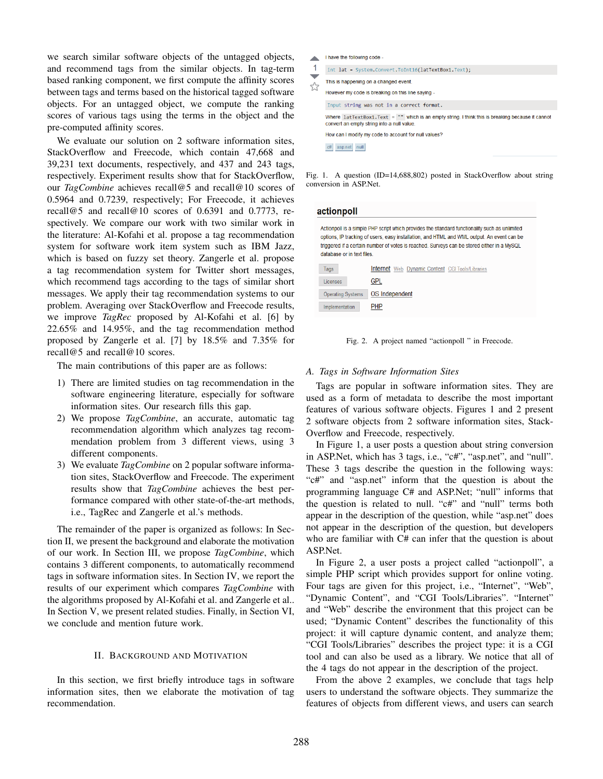we search similar software objects of the untagged objects, and recommend tags from the similar objects. In tag-term based ranking component, we first compute the affinity scores between tags and terms based on the historical tagged software objects. For an untagged object, we compute the ranking scores of various tags using the terms in the object and the pre-computed affinity scores.

We evaluate our solution on 2 software information sites, StackOverflow and Freecode, which contain 47,668 and 39,231 text documents, respectively, and 437 and 243 tags, respectively. Experiment results show that for StackOverflow, our *TagCombine* achieves recall@5 and recall@10 scores of 0.5964 and 0.7239, respectively; For Freecode, it achieves recall@5 and recall@10 scores of 0.6391 and 0.7773, respectively. We compare our work with two similar work in the literature: Al-Kofahi et al. propose a tag recommendation system for software work item system such as IBM Jazz, which is based on fuzzy set theory. Zangerle et al. propose a tag recommendation system for Twitter short messages, which recommend tags according to the tags of similar short messages. We apply their tag recommendation systems to our problem. Averaging over StackOverflow and Freecode results, we improve *TagRec* proposed by Al-Kofahi et al. [6] by 22.65% and 14.95%, and the tag recommendation method proposed by Zangerle et al. [7] by 18.5% and 7.35% for recall@5 and recall@10 scores.

The main contributions of this paper are as follows:

- 1) There are limited studies on tag recommendation in the software engineering literature, especially for software information sites. Our research fills this gap.
- 2) We propose *TagCombine*, an accurate, automatic tag recommendation algorithm which analyzes tag recommendation problem from 3 different views, using 3 different components.
- 3) We evaluate *TagCombine* on 2 popular software information sites, StackOverflow and Freecode. The experiment results show that *TagCombine* achieves the best performance compared with other state-of-the-art methods, i.e., TagRec and Zangerle et al.'s methods.

The remainder of the paper is organized as follows: In Section II, we present the background and elaborate the motivation of our work. In Section III, we propose *TagCombine*, which contains 3 different components, to automatically recommend tags in software information sites. In Section IV, we report the results of our experiment which compares *TagCombine* with the algorithms proposed by Al-Kofahi et al. and Zangerle et al.. In Section V, we present related studies. Finally, in Section VI, we conclude and mention future work.

# II. BACKGROUND AND MOTIVATION

In this section, we first briefly introduce tags in software information sites, then we elaborate the motivation of tag recommendation.

I have the following code  $\overline{\phantom{a}}$ 

|                               | int lat = System Convert. ToInt16(latTextBox1.Text);                                                                                            |
|-------------------------------|-------------------------------------------------------------------------------------------------------------------------------------------------|
| $\overline{\phantom{a}}$<br>☆ | This is happening on a changed event.                                                                                                           |
|                               | However my code is breaking on this line saying -                                                                                               |
|                               | Input string was not in a correct format.                                                                                                       |
|                               | Where $latTextBox1.Text = "$ which is an empty string. I think this is breaking because it cannot<br>convert an empty string into a null value. |
|                               | How can I modify my code to account for null values?                                                                                            |
|                               | C#<br>asp.net<br>null                                                                                                                           |

Fig. 1. A question (ID=14,688,802) posted in StackOverflow about string conversion in ASP.Net.

#### actionpoll

Actionpoll is a simple PHP script which provides the standard functionality such as unlimited options, IP tracking of users, easy installation, and HTML and WML output. An event can be triggered if a certain number of votes is reached. Surveys can be stored either in a MySQL database or in text files

| Tags                     | Internet Web Dynamic Content CGI Tools/Libraries |
|--------------------------|--------------------------------------------------|
| Licenses                 | GPL                                              |
| <b>Operating Systems</b> | <b>OS</b> Independent                            |
| Implementation           | PHP                                              |



## *A. Tags in Software Information Sites*

Tags are popular in software information sites. They are used as a form of metadata to describe the most important features of various software objects. Figures 1 and 2 present 2 software objects from 2 software information sites, Stack-Overflow and Freecode, respectively.

In Figure 1, a user posts a question about string conversion in ASP.Net, which has 3 tags, i.e., "c#", "asp.net", and "null". These 3 tags describe the question in the following ways: "c#" and "asp.net" inform that the question is about the programming language C# and ASP.Net; "null" informs that the question is related to null. "c#" and "null" terms both appear in the description of the question, while "asp.net" does not appear in the description of the question, but developers who are familiar with  $C#$  can infer that the question is about ASP.Net.

In Figure 2, a user posts a project called "actionpoll", a simple PHP script which provides support for online voting. Four tags are given for this project, i.e., "Internet", "Web", "Dynamic Content", and "CGI Tools/Libraries". "Internet" and "Web" describe the environment that this project can be used; "Dynamic Content" describes the functionality of this project: it will capture dynamic content, and analyze them; "CGI Tools/Libraries" describes the project type: it is a CGI tool and can also be used as a library. We notice that all of the 4 tags do not appear in the description of the project.

From the above 2 examples, we conclude that tags help users to understand the software objects. They summarize the features of objects from different views, and users can search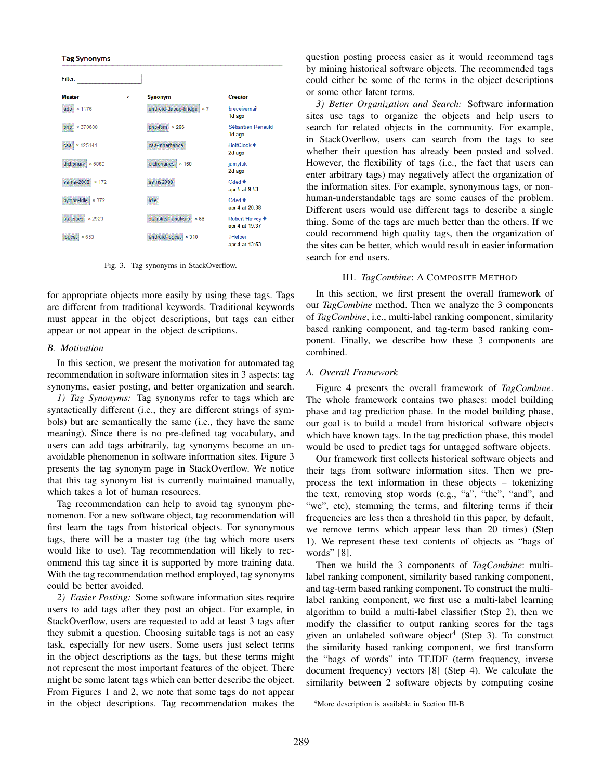#### **Tag Synonyms**



Fig. 3. Tag synonyms in StackOverflow.

for appropriate objects more easily by using these tags. Tags are different from traditional keywords. Traditional keywords must appear in the object descriptions, but tags can either appear or not appear in the object descriptions.

## *B. Motivation*

In this section, we present the motivation for automated tag recommendation in software information sites in 3 aspects: tag synonyms, easier posting, and better organization and search.

*1) Tag Synonyms:* Tag synonyms refer to tags which are syntactically different (i.e., they are different strings of symbols) but are semantically the same (i.e., they have the same meaning). Since there is no pre-defined tag vocabulary, and users can add tags arbitrarily, tag synonyms become an unavoidable phenomenon in software information sites. Figure 3 presents the tag synonym page in StackOverflow. We notice that this tag synonym list is currently maintained manually, which takes a lot of human resources.

Tag recommendation can help to avoid tag synonym phenomenon. For a new software object, tag recommendation will first learn the tags from historical objects. For synonymous tags, there will be a master tag (the tag which more users would like to use). Tag recommendation will likely to recommend this tag since it is supported by more training data. With the tag recommendation method employed, tag synonyms could be better avoided.

*2) Easier Posting:* Some software information sites require users to add tags after they post an object. For example, in StackOverflow, users are requested to add at least 3 tags after they submit a question. Choosing suitable tags is not an easy task, especially for new users. Some users just select terms in the object descriptions as the tags, but these terms might not represent the most important features of the object. There might be some latent tags which can better describe the object. From Figures 1 and 2, we note that some tags do not appear in the object descriptions. Tag recommendation makes the

question posting process easier as it would recommend tags by mining historical software objects. The recommended tags could either be some of the terms in the object descriptions or some other latent terms.

*3) Better Organization and Search:* Software information sites use tags to organize the objects and help users to search for related objects in the community. For example, in StackOverflow, users can search from the tags to see whether their question has already been posted and solved. However, the flexibility of tags (i.e., the fact that users can enter arbitrary tags) may negatively affect the organization of the information sites. For example, synonymous tags, or nonhuman-understandable tags are some causes of the problem. Different users would use different tags to describe a single thing. Some of the tags are much better than the others. If we could recommend high quality tags, then the organization of the sites can be better, which would result in easier information search for end users.

#### III. *TagCombine*: A COMPOSITE METHOD

In this section, we first present the overall framework of our *TagCombine* method. Then we analyze the 3 components of *TagCombine*, i.e., multi-label ranking component, similarity based ranking component, and tag-term based ranking component. Finally, we describe how these 3 components are combined.

## *A. Overall Framework*

Figure 4 presents the overall framework of *TagCombine*. The whole framework contains two phases: model building phase and tag prediction phase. In the model building phase, our goal is to build a model from historical software objects which have known tags. In the tag prediction phase, this model would be used to predict tags for untagged software objects.

Our framework first collects historical software objects and their tags from software information sites. Then we preprocess the text information in these objects – tokenizing the text, removing stop words (e.g., "a", "the", "and", and "we", etc), stemming the terms, and filtering terms if their frequencies are less then a threshold (in this paper, by default, we remove terms which appear less than 20 times) (Step 1). We represent these text contents of objects as "bags of words" [8].

Then we build the 3 components of *TagCombine*: multilabel ranking component, similarity based ranking component, and tag-term based ranking component. To construct the multilabel ranking component, we first use a multi-label learning algorithm to build a multi-label classifier (Step 2), then we modify the classifier to output ranking scores for the tags given an unlabeled software object<sup>4</sup> (Step 3). To construct the similarity based ranking component, we first transform the "bags of words" into TF.IDF (term frequency, inverse document frequency) vectors [8] (Step 4). We calculate the similarity between 2 software objects by computing cosine

<sup>4</sup>More description is available in Section III-B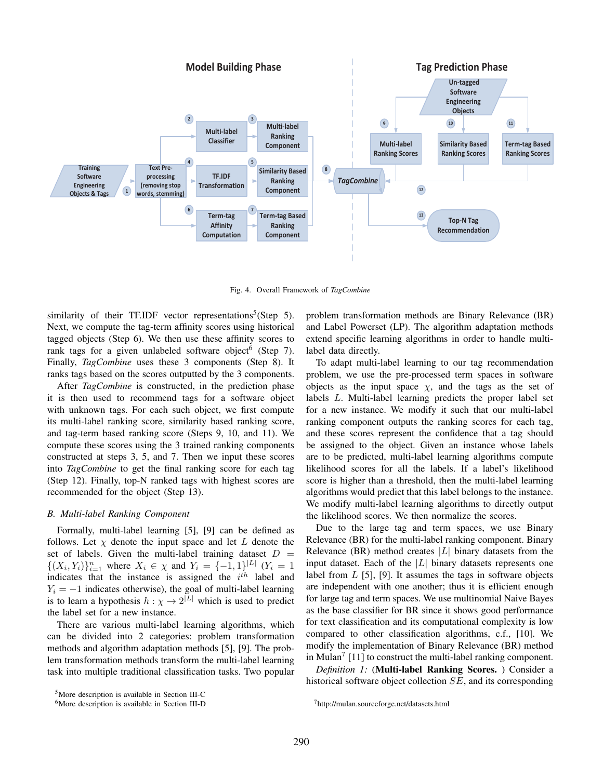

Fig. 4. Overall Framework of *TagCombine*

similarity of their TF.IDF vector representations<sup>5</sup>(Step 5). Next, we compute the tag-term affinity scores using historical tagged objects (Step 6). We then use these affinity scores to rank tags for a given unlabeled software object<sup>6</sup> (Step 7). Finally, *TagCombine* uses these 3 components (Step 8). It ranks tags based on the scores outputted by the 3 components.

After *TagCombine* is constructed, in the prediction phase it is then used to recommend tags for a software object with unknown tags. For each such object, we first compute its multi-label ranking score, similarity based ranking score, and tag-term based ranking score (Steps 9, 10, and 11). We compute these scores using the 3 trained ranking components constructed at steps 3, 5, and 7. Then we input these scores into *TagCombine* to get the final ranking score for each tag (Step 12). Finally, top-N ranked tags with highest scores are recommended for the object (Step 13).

## *B. Multi-label Ranking Component*

Formally, multi-label learning [5], [9] can be defined as follows. Let  $\chi$  denote the input space and let L denote the set of labels. Given the multi-label training dataset  $D =$  $\{(X_i, Y_i)\}_{i=1}^n$  where  $X_i \in \chi$  and  $Y_i = \{-1, 1\}^{|L|}$   $(Y_i = 1)$ indicates that the instance is assigned the  $i^{th}$  label and  $Y_i = -1$  indicates otherwise), the goal of multi-label learning is to learn a hypothesis  $h : \chi \to 2^{|L|}$  which is used to predict the label set for a new instance.

There are various multi-label learning algorithms, which can be divided into 2 categories: problem transformation methods and algorithm adaptation methods [5], [9]. The problem transformation methods transform the multi-label learning task into multiple traditional classification tasks. Two popular

<sup>5</sup>More description is available in Section III-C

problem transformation methods are Binary Relevance (BR) and Label Powerset (LP). The algorithm adaptation methods extend specific learning algorithms in order to handle multilabel data directly.

To adapt multi-label learning to our tag recommendation problem, we use the pre-processed term spaces in software objects as the input space  $\chi$ , and the tags as the set of labels L. Multi-label learning predicts the proper label set for a new instance. We modify it such that our multi-label ranking component outputs the ranking scores for each tag, and these scores represent the confidence that a tag should be assigned to the object. Given an instance whose labels are to be predicted, multi-label learning algorithms compute likelihood scores for all the labels. If a label's likelihood score is higher than a threshold, then the multi-label learning algorithms would predict that this label belongs to the instance. We modify multi-label learning algorithms to directly output the likelihood scores. We then normalize the scores.

Due to the large tag and term spaces, we use Binary Relevance (BR) for the multi-label ranking component. Binary Relevance (BR) method creates  $|L|$  binary datasets from the input dataset. Each of the  $|L|$  binary datasets represents one label from  $L$  [5], [9]. It assumes the tags in software objects are independent with one another; thus it is efficient enough for large tag and term spaces. We use multinomial Naive Bayes as the base classifier for BR since it shows good performance for text classification and its computational complexity is low compared to other classification algorithms, c.f., [10]. We modify the implementation of Binary Relevance (BR) method in Mulan<sup>7</sup> [11] to construct the multi-label ranking component.

*Definition 1:* (Multi-label Ranking Scores. ) Consider a historical software object collection SE, and its corresponding

<sup>&</sup>lt;sup>6</sup>More description is available in Section III-D

<sup>7</sup>http://mulan.sourceforge.net/datasets.html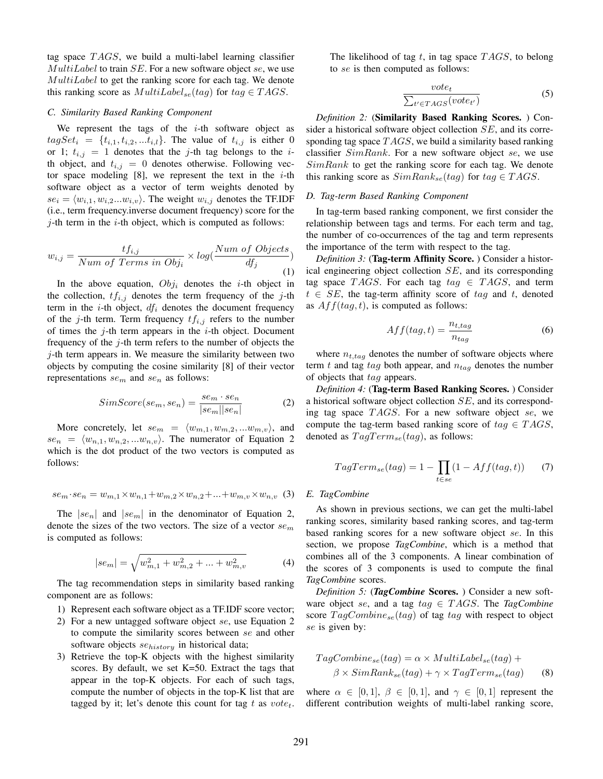tag space  $TAGS$ , we build a multi-label learning classifier  $MultiLabel$  to train  $SE$ . For a new software object se, we use MultiLabel to get the ranking score for each tag. We denote this ranking score as  $MultiLabel_{se}(tag)$  for  $tag \in TAGS$ .

# *C. Similarity Based Ranking Component*

We represent the tags of the  $i$ -th software object as  $tagSet_i = \{t_{i,1}, t_{i,2}, \ldots, t_{i,l}\}.$  The value of  $t_{i,j}$  is either 0 or 1;  $t_{i,j} = 1$  denotes that the j-th tag belongs to the ith object, and  $t_{i,j} = 0$  denotes otherwise. Following vector space modeling  $[8]$ , we represent the text in the *i*-th software object as a vector of term weights denoted by  $se_i = \langle w_{i,1}, w_{i,2}...w_{i,v} \rangle$ . The weight  $w_{i,j}$  denotes the TF.IDF (i.e., term frequency.inverse document frequency) score for the  $j$ -th term in the  $i$ -th object, which is computed as follows:

$$
w_{i,j} = \frac{tf_{i,j}}{Num\ of\ Terms\ in\ Obj_i} \times log(\frac{Num\ of\ Objects}{df_j})
$$
\n(1)

In the above equation,  $Obj_i$  denotes the *i*-th object in the collection,  $tf_{i,j}$  denotes the term frequency of the j-th term in the *i*-th object,  $df_i$  denotes the document frequency of the j-th term. Term frequency  $tf_{i,j}$  refers to the number of times the  $j$ -th term appears in the  $i$ -th object. Document frequency of the j-th term refers to the number of objects the  $j$ -th term appears in. We measure the similarity between two objects by computing the cosine similarity [8] of their vector representations  $se<sub>m</sub>$  and  $se<sub>n</sub>$  as follows:

$$
SimScore(se_m, se_n) = \frac{se_m \cdot se_n}{|se_m||se_n|}
$$
 (2)

More concretely, let  $se_m = \langle w_{m,1}, w_{m,2}, ... w_{m,v} \rangle$ , and  $se_n = \langle w_{n,1}, w_{n,2}, ... w_{n,v} \rangle$ . The numerator of Equation 2 which is the dot product of the two vectors is computed as follows:

$$
se_m \cdot se_n = w_{m,1} \times w_{n,1} + w_{m,2} \times w_{n,2} + \dots + w_{m,v} \times w_{n,v}
$$
 (3)

The  $|se_n|$  and  $|se_m|$  in the denominator of Equation 2, denote the sizes of the two vectors. The size of a vector  $se<sub>m</sub>$ is computed as follows:

$$
|se_m| = \sqrt{w_{m,1}^2 + w_{m,2}^2 + \dots + w_{m,v}^2}
$$
 (4)

The tag recommendation steps in similarity based ranking component are as follows:

- 1) Represent each software object as a TF.IDF score vector;
- 2) For a new untagged software object se, use Equation 2 to compute the similarity scores between se and other software objects  $se<sub>history</sub>$  in historical data;
- 3) Retrieve the top-K objects with the highest similarity scores. By default, we set K=50. Extract the tags that appear in the top-K objects. For each of such tags, compute the number of objects in the top-K list that are tagged by it; let's denote this count for tag t as  $vote_t$ .

The likelihood of tag t, in tag space  $TAGS$ , to belong to se is then computed as follows:

$$
\frac{vote_t}{\sum_{t' \in TAGS}(vote_{t'})}
$$
 (5)

*Definition 2:* (Similarity Based Ranking Scores. ) Consider a historical software object collection SE, and its corresponding tag space  $TAGS$ , we build a similarity based ranking classifier SimRank. For a new software object se, we use  $SimRank$  to get the ranking score for each tag. We denote this ranking score as  $SimRank_{se}(tag)$  for  $tag \in TAGS$ .

#### *D. Tag-term Based Ranking Component*

In tag-term based ranking component, we first consider the relationship between tags and terms. For each term and tag, the number of co-occurrences of the tag and term represents the importance of the term with respect to the tag.

*Definition 3:* (Tag-term Affinity Score. ) Consider a historical engineering object collection SE, and its corresponding tag space TAGS. For each tag  $taq \in TAGS$ , and term  $t \in SE$ , the tag-term affinity score of tag and t, denoted as  $Aff(tag, t)$ , is computed as follows:

$$
Aff(tag, t) = \frac{n_{t, tag}}{n_{tag}}\tag{6}
$$

where  $n_{t,tag}$  denotes the number of software objects where term t and tag tag both appear, and  $n_{tag}$  denotes the number of objects that tag appears.

*Definition 4:* (Tag-term Based Ranking Scores. ) Consider a historical software object collection SE, and its corresponding tag space  $TAGS$ . For a new software object se, we compute the tag-term based ranking score of  $tag \in TAGS$ , denoted as  $TagTerm_{se}(tag)$ , as follows:

$$
TagTerm_{se}(tag) = 1 - \prod_{t \in se} (1 - Aff(tag, t)) \tag{7}
$$

# *E. TagCombine*

As shown in previous sections, we can get the multi-label ranking scores, similarity based ranking scores, and tag-term based ranking scores for a new software object se. In this section, we propose *TagCombine*, which is a method that combines all of the 3 components. A linear combination of the scores of 3 components is used to compute the final *TagCombine* scores.

*Definition 5:* (*TagCombine* Scores. ) Consider a new software object se, and a tag  $tag \in TAGS$ . The *TagCombine* score  $TagCombine_{se}(tag)$  of tag tag with respect to object se is given by:

$$
TagCombine_{se}(tag) = \alpha \times MultilLabel_{se}(tag) +
$$
  

$$
\beta \times SimRank_{se}(tag) + \gamma \times TagTerm_{se}(tag)
$$
 (8)

where  $\alpha \in [0,1], \beta \in [0,1],$  and  $\gamma \in [0,1]$  represent the different contribution weights of multi-label ranking score,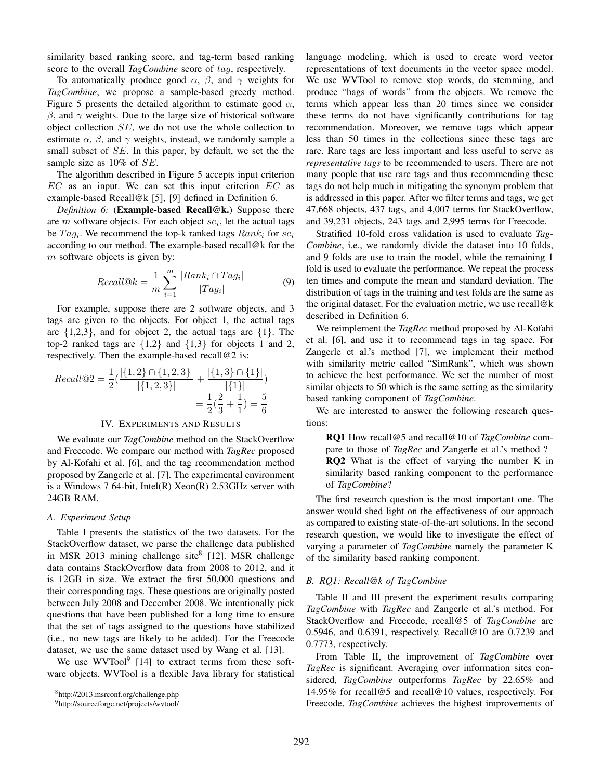similarity based ranking score, and tag-term based ranking score to the overall *TagCombine* score of tag, respectively.

To automatically produce good  $\alpha$ ,  $\beta$ , and  $\gamma$  weights for *TagCombine*, we propose a sample-based greedy method. Figure 5 presents the detailed algorithm to estimate good  $\alpha$ ,  $β$ , and  $γ$  weights. Due to the large size of historical software object collection SE, we do not use the whole collection to estimate  $\alpha$ ,  $\beta$ , and  $\gamma$  weights, instead, we randomly sample a small subset of SE. In this paper, by default, we set the the sample size as 10% of SE.

The algorithm described in Figure 5 accepts input criterion  $EC$  as an input. We can set this input criterion  $EC$  as example-based Recall@k [5], [9] defined in Definition 6.

*Definition 6:* (Example-based Recall@k.) Suppose there are  $m$  software objects. For each object  $se_i$ , let the actual tags be  $Tag_i$ . We recommend the top-k ranked tags  $Rank_i$  for  $se_i$ according to our method. The example-based recall@k for the m software objects is given by:

$$
Recall@k = \frac{1}{m} \sum_{i=1}^{m} \frac{|Rank_i \cap Tag_i|}{|Tag_i|}
$$
(9)

For example, suppose there are 2 software objects, and 3 tags are given to the objects. For object 1, the actual tags are  $\{1,2,3\}$ , and for object 2, the actual tags are  $\{1\}$ . The top-2 ranked tags are  $\{1,2\}$  and  $\{1,3\}$  for objects 1 and 2, respectively. Then the example-based recall@2 is:

$$
Recall@2 = \frac{1}{2} \left( \frac{|\{1,2\} \cap \{1,2,3\}|}{|\{1,2,3\}|} + \frac{|\{1,3\} \cap \{1\}|}{|\{1\}|} \right)
$$

$$
= \frac{1}{2} \left( \frac{2}{3} + \frac{1}{1} \right) = \frac{5}{6}
$$

# IV. EXPERIMENTS AND RESULTS

We evaluate our *TagCombine* method on the StackOverflow and Freecode. We compare our method with *TagRec* proposed by Al-Kofahi et al. [6], and the tag recommendation method proposed by Zangerle et al. [7]. The experimental environment is a Windows 7 64-bit, Intel(R) Xeon(R) 2.53GHz server with 24GB RAM.

# *A. Experiment Setup*

Table I presents the statistics of the two datasets. For the StackOverflow dataset, we parse the challenge data published in MSR 2013 mining challenge site<sup>8</sup> [12]. MSR challenge data contains StackOverflow data from 2008 to 2012, and it is 12GB in size. We extract the first 50,000 questions and their corresponding tags. These questions are originally posted between July 2008 and December 2008. We intentionally pick questions that have been published for a long time to ensure that the set of tags assigned to the questions have stabilized (i.e., no new tags are likely to be added). For the Freecode dataset, we use the same dataset used by Wang et al. [13].

We use  $WVTool<sup>9</sup>$  [14] to extract terms from these software objects. WVTool is a flexible Java library for statistical language modeling, which is used to create word vector representations of text documents in the vector space model. We use WVTool to remove stop words, do stemming, and produce "bags of words" from the objects. We remove the terms which appear less than 20 times since we consider these terms do not have significantly contributions for tag recommendation. Moreover, we remove tags which appear less than 50 times in the collections since these tags are rare. Rare tags are less important and less useful to serve as *representative tags* to be recommended to users. There are not many people that use rare tags and thus recommending these tags do not help much in mitigating the synonym problem that is addressed in this paper. After we filter terms and tags, we get 47,668 objects, 437 tags, and 4,007 terms for StackOverflow, and 39,231 objects, 243 tags and 2,995 terms for Freecode.

Stratified 10-fold cross validation is used to evaluate *Tag-Combine*, i.e., we randomly divide the dataset into 10 folds, and 9 folds are use to train the model, while the remaining 1 fold is used to evaluate the performance. We repeat the process ten times and compute the mean and standard deviation. The distribution of tags in the training and test folds are the same as the original dataset. For the evaluation metric, we use recall@k described in Definition 6.

We reimplement the *TagRec* method proposed by Al-Kofahi et al. [6], and use it to recommend tags in tag space. For Zangerle et al.'s method [7], we implement their method with similarity metric called "SimRank", which was shown to achieve the best performance. We set the number of most similar objects to 50 which is the same setting as the similarity based ranking component of *TagCombine*.

We are interested to answer the following research questions:

RQ1 How recall@5 and recall@10 of *TagCombine* compare to those of *TagRec* and Zangerle et al.'s method ? RQ2 What is the effect of varying the number K in similarity based ranking component to the performance of *TagCombine*?

The first research question is the most important one. The answer would shed light on the effectiveness of our approach as compared to existing state-of-the-art solutions. In the second research question, we would like to investigate the effect of varying a parameter of *TagCombine* namely the parameter K of the similarity based ranking component.

#### *B. RQ1: Recall@k of TagCombine*

Table II and III present the experiment results comparing *TagCombine* with *TagRec* and Zangerle et al.'s method. For StackOverflow and Freecode, recall@5 of *TagCombine* are 0.5946, and 0.6391, respectively. Recall@10 are 0.7239 and 0.7773, respectively.

From Table II, the improvement of *TagCombine* over *TagRec* is significant. Averaging over information sites considered, *TagCombine* outperforms *TagRec* by 22.65% and 14.95% for recall@5 and recall@10 values, respectively. For Freecode, *TagCombine* achieves the highest improvements of

<sup>8</sup>http://2013.msrconf.org/challenge.php

<sup>9</sup>http://sourceforge.net/projects/wvtool/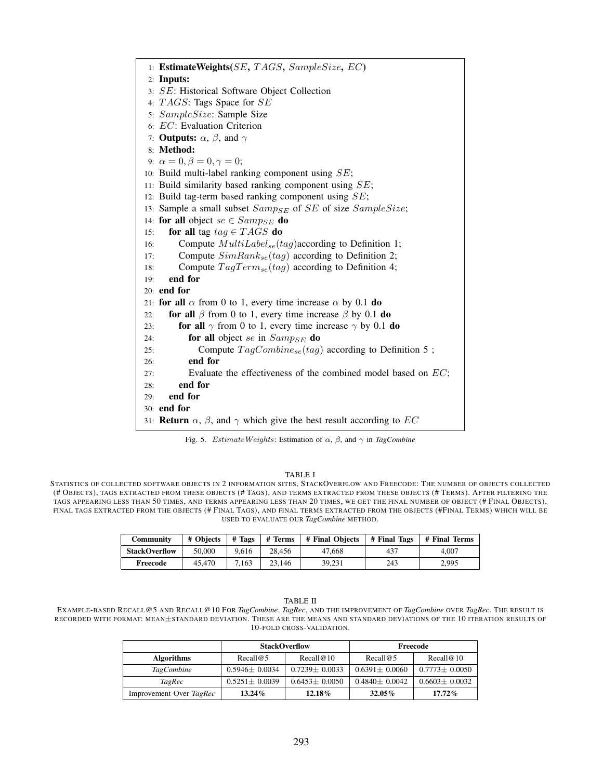1: EstimateWeights(SE, T AGS, SampleSize, EC) 2: Inputs: 3: SE: Historical Software Object Collection 4: TAGS: Tags Space for SE 5: SampleSize: Sample Size 6: EC: Evaluation Criterion 7: **Outputs:**  $\alpha$ ,  $\beta$ , and  $\gamma$ 8: Method: 9:  $\alpha = 0, \beta = 0, \gamma = 0;$ 10: Build multi-label ranking component using  $SE$ ; 11: Build similarity based ranking component using  $SE$ ; 12: Build tag-term based ranking component using  $SE$ ; 13: Sample a small subset  $Samp_{SE}$  of SE of size  $SampleSize$ ; 14: for all object  $se \in Samp_{SE}$  do 15: **for all** tag  $tag \in TAGS$  **do** 16: Compute  $MultiLabel_{se}(tag)$  according to Definition 1; 17: Compute  $SimRank_{se}(tag)$  according to Definition 2; 18: Compute  $TagTerm_{se}(tag)$  according to Definition 4; 19: end for 20: end for 21: for all  $\alpha$  from 0 to 1, every time increase  $\alpha$  by 0.1 do 22: for all  $\beta$  from 0 to 1, every time increase  $\beta$  by 0.1 do 23: **for all**  $\gamma$  from 0 to 1, every time increase  $\gamma$  by 0.1 **do** 24: **for all** object se in  $Samp_{SE}$  do 25: Compute  $TagCombine_{se}(tag)$  according to Definition 5; 26: end for 27: Evaluate the effectiveness of the combined model based on EC; 28: end for 29: end for 30: end for 31: **Return**  $\alpha$ ,  $\beta$ , and  $\gamma$  which give the best result according to EC

Fig. 5. *EstimateWeights:* Estimation of  $\alpha$ ,  $\beta$ , and  $\gamma$  in *TagCombine* 

TABLE I

STATISTICS OF COLLECTED SOFTWARE OBJECTS IN 2 INFORMATION SITES, STACKOVERFLOW AND FREECODE: THE NUMBER OF OBJECTS COLLECTED (# OBJECTS), TAGS EXTRACTED FROM THESE OBJECTS (# TAGS), AND TERMS EXTRACTED FROM THESE OBJECTS (# TERMS). AFTER FILTERING THE TAGS APPEARING LESS THAN 50 TIMES, AND TERMS APPEARING LESS THAN 20 TIMES, WE GET THE FINAL NUMBER OF OBJECT (# FINAL OBJECTS), FINAL TAGS EXTRACTED FROM THE OBJECTS (# FINAL TAGS), AND FINAL TERMS EXTRACTED FROM THE OBJECTS (#FINAL TERMS) WHICH WILL BE USED TO EVALUATE OUR *TagCombine* METHOD.

| Communitv            | # Obiects | # Tags | # Terms | # Final Obiects | # Final Tags | # Final Terms |
|----------------------|-----------|--------|---------|-----------------|--------------|---------------|
| <b>StackOverflow</b> | 50,000    | 9.616  | 28.456  | 47.668          | 437          | 4.007         |
| Freecode             | 45.470    | 7.163  | 23.146  | 39.231          | 243          | 2.995         |

TABLE II

EXAMPLE-BASED RECALL@5 AND RECALL@10 FOR *TagCombine*, *TagRec*, AND THE IMPROVEMENT OF *TagCombine* OVER *TagRec*. THE RESULT IS RECORDED WITH FORMAT: MEAN±STANDARD DEVIATION. THESE ARE THE MEANS AND STANDARD DEVIATIONS OF THE 10 ITERATION RESULTS OF 10-FOLD CROSS-VALIDATION.

|                         | <b>StackOverflow</b> |                     | Freecode            |                   |
|-------------------------|----------------------|---------------------|---------------------|-------------------|
| <b>Algorithms</b>       | Recall@5             | Recall@10           | Recall@5            | Recall@10         |
| <b>TagCombine</b>       | $0.5946 \pm 0.0034$  | $0.7239 \pm 0.0033$ | $0.6391 \pm 0.0060$ | $0.7773 + 0.0050$ |
| TagRec                  | $0.5251 \pm 0.0039$  | $0.6453 + 0.0050$   | $0.4840 \pm 0.0042$ | $0.6603 + 0.0032$ |
| Improvement Over TagRec | $13.24\%$            | $12.18\%$           | $32.05\%$           | $17.72\%$         |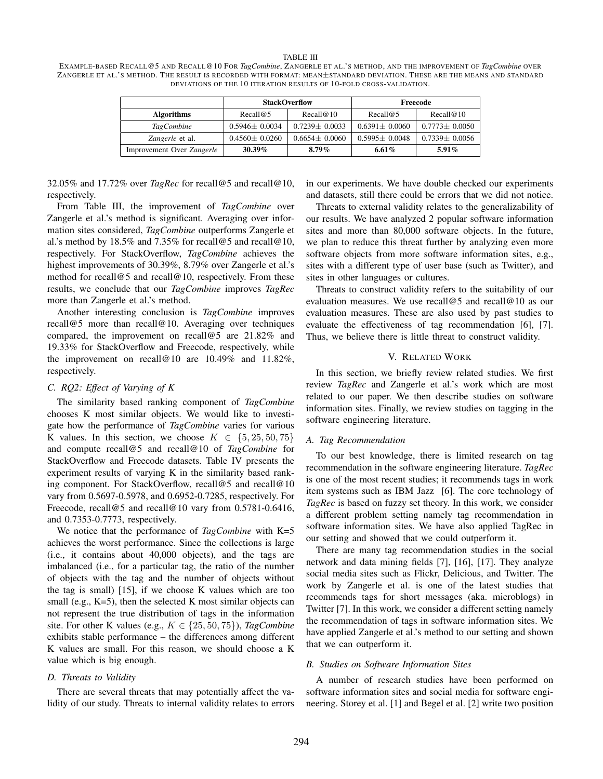#### TABLE III

EXAMPLE-BASED RECALL@5 AND RECALL@10 FOR *TagCombine*, ZANGERLE ET AL.'S METHOD, AND THE IMPROVEMENT OF *TagCombine* OVER ZANGERLE ET AL.'S METHOD. THE RESULT IS RECORDED WITH FORMAT: MEAN±STANDARD DEVIATION. THESE ARE THE MEANS AND STANDARD DEVIATIONS OF THE 10 ITERATION RESULTS OF 10-FOLD CROSS-VALIDATION.

|                           | <b>StackOverflow</b> |                   | Freecode            |                     |
|---------------------------|----------------------|-------------------|---------------------|---------------------|
| <b>Algorithms</b>         | Recall@5             | Recall@10         | Recall@5            | Recall@10           |
| <b>TagCombine</b>         | $0.5946 \pm 0.0034$  | $0.7239 + 0.0033$ | $0.6391 \pm 0.0060$ | $0.7773 \pm 0.0050$ |
| Zangerle et al.           | $0.4560 \pm 0.0260$  | $0.6654 + 0.0060$ | $0.5995+0.0048$     | $0.7339 + 0.0056$   |
| Improvement Over Zangerle | $30.39\%$            | $8.79\%$          | 6.61%               | $5.91\%$            |

32.05% and 17.72% over *TagRec* for recall@5 and recall@10, respectively.

From Table III, the improvement of *TagCombine* over Zangerle et al.'s method is significant. Averaging over information sites considered, *TagCombine* outperforms Zangerle et al.'s method by 18.5% and 7.35% for recall@5 and recall@10, respectively. For StackOverflow, *TagCombine* achieves the highest improvements of 30.39%, 8.79% over Zangerle et al.'s method for recall@5 and recall@10, respectively. From these results, we conclude that our *TagCombine* improves *TagRec* more than Zangerle et al.'s method.

Another interesting conclusion is *TagCombine* improves recall@5 more than recall@10. Averaging over techniques compared, the improvement on recall@5 are 21.82% and 19.33% for StackOverflow and Freecode, respectively, while the improvement on recall@10 are 10.49% and 11.82%, respectively.

## *C. RQ2: Effect of Varying of K*

The similarity based ranking component of *TagCombine* chooses K most similar objects. We would like to investigate how the performance of *TagCombine* varies for various K values. In this section, we choose  $K \in \{5, 25, 50, 75\}$ and compute recall@5 and recall@10 of *TagCombine* for StackOverflow and Freecode datasets. Table IV presents the experiment results of varying K in the similarity based ranking component. For StackOverflow, recall@5 and recall@10 vary from 0.5697-0.5978, and 0.6952-0.7285, respectively. For Freecode, recall@5 and recall@10 vary from 0.5781-0.6416, and 0.7353-0.7773, respectively.

We notice that the performance of *TagCombine* with K=5 achieves the worst performance. Since the collections is large (i.e., it contains about 40,000 objects), and the tags are imbalanced (i.e., for a particular tag, the ratio of the number of objects with the tag and the number of objects without the tag is small) [15], if we choose K values which are too small (e.g., K=5), then the selected K most similar objects can not represent the true distribution of tags in the information site. For other K values (e.g.,  $K \in \{25, 50, 75\}$ ), *TagCombine* exhibits stable performance – the differences among different K values are small. For this reason, we should choose a K value which is big enough.

## *D. Threats to Validity*

There are several threats that may potentially affect the validity of our study. Threats to internal validity relates to errors in our experiments. We have double checked our experiments and datasets, still there could be errors that we did not notice.

Threats to external validity relates to the generalizability of our results. We have analyzed 2 popular software information sites and more than 80,000 software objects. In the future, we plan to reduce this threat further by analyzing even more software objects from more software information sites, e.g., sites with a different type of user base (such as Twitter), and sites in other languages or cultures.

Threats to construct validity refers to the suitability of our evaluation measures. We use recall@5 and recall@10 as our evaluation measures. These are also used by past studies to evaluate the effectiveness of tag recommendation [6], [7]. Thus, we believe there is little threat to construct validity.

## V. RELATED WORK

In this section, we briefly review related studies. We first review *TagRec* and Zangerle et al.'s work which are most related to our paper. We then describe studies on software information sites. Finally, we review studies on tagging in the software engineering literature.

#### *A. Tag Recommendation*

To our best knowledge, there is limited research on tag recommendation in the software engineering literature. *TagRec* is one of the most recent studies; it recommends tags in work item systems such as IBM Jazz [6]. The core technology of *TagRec* is based on fuzzy set theory. In this work, we consider a different problem setting namely tag recommendation in software information sites. We have also applied TagRec in our setting and showed that we could outperform it.

There are many tag recommendation studies in the social network and data mining fields [7], [16], [17]. They analyze social media sites such as Flickr, Delicious, and Twitter. The work by Zangerle et al. is one of the latest studies that recommends tags for short messages (aka. microblogs) in Twitter [7]. In this work, we consider a different setting namely the recommendation of tags in software information sites. We have applied Zangerle et al.'s method to our setting and shown that we can outperform it.

## *B. Studies on Software Information Sites*

A number of research studies have been performed on software information sites and social media for software engineering. Storey et al. [1] and Begel et al. [2] write two position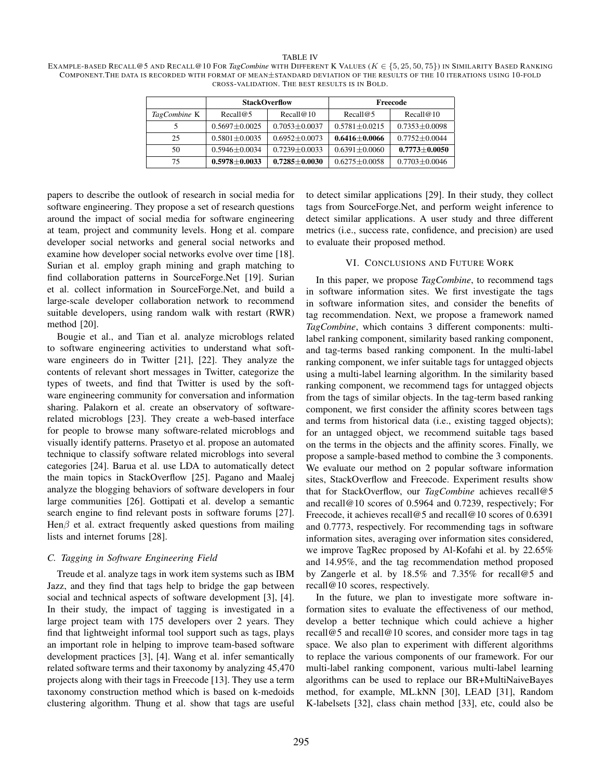#### TABLE IV

EXAMPLE-BASED RECALL@5 AND RECALL@10 FOR *TagCombine* WITH DIFFERENT K VALUES (K ∈ {5, 25, 50, 75}) IN SIMILARITY BASED RANKING COMPONENT.THE DATA IS RECORDED WITH FORMAT OF MEAN±STANDARD DEVIATION OF THE RESULTS OF THE 10 ITERATIONS USING 10-FOLD CROSS-VALIDATION. THE BEST RESULTS IS IN BOLD.

|              |                     | <b>StackOverflow</b> | Freecode            |                     |  |
|--------------|---------------------|----------------------|---------------------|---------------------|--|
| TagCombine K | Recall@5            | Recall@10            |                     | Recall@10           |  |
|              | $0.5697 \pm 0.0025$ | $0.7053 + 0.0037$    | $0.5781 \pm 0.0215$ | $0.7353 \pm 0.0098$ |  |
| 25           | $0.5801 \pm 0.0035$ | $0.6952 \pm 0.0073$  | $0.6416 + 0.0066$   | $0.7752 \pm 0.0044$ |  |
| 50           | $0.5946 \pm 0.0034$ | $0.7239 + 0.0033$    | $0.6391 + 0.0060$   | $0.7773 \pm 0.0050$ |  |
| 75           | $0.5978 \pm 0.0033$ | $0.7285 + 0.0030$    | $0.6275 + 0.0058$   | $0.7703 + 0.0046$   |  |

papers to describe the outlook of research in social media for software engineering. They propose a set of research questions around the impact of social media for software engineering at team, project and community levels. Hong et al. compare developer social networks and general social networks and examine how developer social networks evolve over time [18]. Surian et al. employ graph mining and graph matching to find collaboration patterns in SourceForge.Net [19]. Surian et al. collect information in SourceForge.Net, and build a large-scale developer collaboration network to recommend suitable developers, using random walk with restart (RWR) method [20].

Bougie et al., and Tian et al. analyze microblogs related to software engineering activities to understand what software engineers do in Twitter [21], [22]. They analyze the contents of relevant short messages in Twitter, categorize the types of tweets, and find that Twitter is used by the software engineering community for conversation and information sharing. Palakorn et al. create an observatory of softwarerelated microblogs [23]. They create a web-based interface for people to browse many software-related microblogs and visually identify patterns. Prasetyo et al. propose an automated technique to classify software related microblogs into several categories [24]. Barua et al. use LDA to automatically detect the main topics in StackOverflow [25]. Pagano and Maalej analyze the blogging behaviors of software developers in four large communities [26]. Gottipati et al. develop a semantic search engine to find relevant posts in software forums [27]. Hen $\beta$  et al. extract frequently asked questions from mailing lists and internet forums [28].

## *C. Tagging in Software Engineering Field*

Treude et al. analyze tags in work item systems such as IBM Jazz, and they find that tags help to bridge the gap between social and technical aspects of software development [3], [4]. In their study, the impact of tagging is investigated in a large project team with 175 developers over 2 years. They find that lightweight informal tool support such as tags, plays an important role in helping to improve team-based software development practices [3], [4]. Wang et al. infer semantically related software terms and their taxonomy by analyzing 45,470 projects along with their tags in Freecode [13]. They use a term taxonomy construction method which is based on k-medoids clustering algorithm. Thung et al. show that tags are useful

to detect similar applications [29]. In their study, they collect tags from SourceForge.Net, and perform weight inference to detect similar applications. A user study and three different metrics (i.e., success rate, confidence, and precision) are used to evaluate their proposed method.

## VI. CONCLUSIONS AND FUTURE WORK

In this paper, we propose *TagCombine*, to recommend tags in software information sites. We first investigate the tags in software information sites, and consider the benefits of tag recommendation. Next, we propose a framework named *TagCombine*, which contains 3 different components: multilabel ranking component, similarity based ranking component, and tag-terms based ranking component. In the multi-label ranking component, we infer suitable tags for untagged objects using a multi-label learning algorithm. In the similarity based ranking component, we recommend tags for untagged objects from the tags of similar objects. In the tag-term based ranking component, we first consider the affinity scores between tags and terms from historical data (i.e., existing tagged objects); for an untagged object, we recommend suitable tags based on the terms in the objects and the affinity scores. Finally, we propose a sample-based method to combine the 3 components. We evaluate our method on 2 popular software information sites, StackOverflow and Freecode. Experiment results show that for StackOverflow, our *TagCombine* achieves recall@5 and recall@10 scores of 0.5964 and 0.7239, respectively; For Freecode, it achieves recall@5 and recall@10 scores of 0.6391 and 0.7773, respectively. For recommending tags in software information sites, averaging over information sites considered, we improve TagRec proposed by Al-Kofahi et al. by 22.65% and 14.95%, and the tag recommendation method proposed by Zangerle et al. by 18.5% and 7.35% for recall@5 and recall@10 scores, respectively.

In the future, we plan to investigate more software information sites to evaluate the effectiveness of our method, develop a better technique which could achieve a higher recall@5 and recall@10 scores, and consider more tags in tag space. We also plan to experiment with different algorithms to replace the various components of our framework. For our multi-label ranking component, various multi-label learning algorithms can be used to replace our BR+MultiNaiveBayes method, for example, ML.kNN [30], LEAD [31], Random K-labelsets [32], class chain method [33], etc, could also be